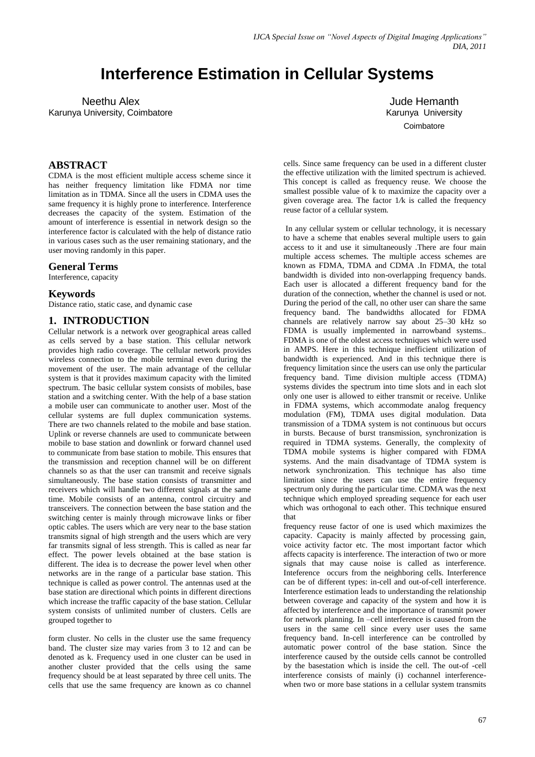# **Interference Estimation in Cellular Systems**

Neethu Alex Karunya University, Coimbatore

Jude Hemanth Karunya University **Coimbatore** 

## **ABSTRACT**

CDMA is the most efficient multiple access scheme since it has neither frequency limitation like FDMA nor time limitation as in TDMA. Since all the users in CDMA uses the same frequency it is highly prone to interference. Interference decreases the capacity of the system. Estimation of the amount of interference is essential in network design so the interference factor is calculated with the help of distance ratio in various cases such as the user remaining stationary, and the user moving randomly in this paper.

#### **General Terms**

Interference, capacity

## **Keywords**

Distance ratio, static case, and dynamic case

## **1. INTRODUCTION**

Cellular network is a network over geographical areas called as cells served by a base station. This cellular network provides high radio coverage. The cellular network provides wireless connection to the mobile terminal even during the movement of the user. The main advantage of the cellular system is that it provides maximum capacity with the limited spectrum. The basic cellular system consists of mobiles, base station and a switching center. With the help of a base station a mobile user can communicate to another user. Most of the cellular systems are full duplex communication systems. There are two channels related to the mobile and base station. Uplink or reverse channels are used to communicate between mobile to base station and downlink or forward channel used to communicate from base station to mobile. This ensures that the transmission and reception channel will be on different channels so as that the user can transmit and receive signals simultaneously. The base station consists of transmitter and receivers which will handle two different signals at the same time. Mobile consists of an antenna, control circuitry and transceivers. The connection between the base station and the switching center is mainly through microwave links or fiber optic cables. The users which are very near to the base station transmits signal of high strength and the users which are very far transmits signal of less strength. This is called as near far effect. The power levels obtained at the base station is different. The idea is to decrease the power level when other networks are in the range of a particular base station. This technique is called as power control. The antennas used at the base station are directional which points in different directions which increase the traffic capacity of the base station. Cellular system consists of unlimited number of clusters. Cells are grouped together to

form cluster. No cells in the cluster use the same frequency band. The cluster size may varies from 3 to 12 and can be denoted as k. Frequency used in one cluster can be used in another cluster provided that the cells using the same frequency should be at least separated by three cell units. The cells that use the same frequency are known as co channel cells. Since same frequency can be used in a different cluster the effective utilization with the limited spectrum is achieved. This concept is called as frequency reuse. We choose the smallest possible value of k to maximize the capacity over a given coverage area. The factor 1*/*k is called the frequency reuse factor of a cellular system.

In any cellular system or cellular technology, it is necessary to have a scheme that enables several multiple users to gain access to it and use it simultaneously .There are four main multiple access schemes. The multiple access schemes are known as FDMA, TDMA and CDMA .In FDMA, the total bandwidth is divided into non-overlapping frequency bands. Each user is allocated a different frequency band for the duration of the connection, whether the channel is used or not. During the period of the call, no other user can share the same frequency band. The bandwidths allocated for FDMA channels are relatively narrow say about 25–30 kHz so FDMA is usually implemented in narrowband systems... FDMA is one of the oldest access techniques which were used in AMPS. Here in this technique inefficient utilization of bandwidth is experienced. And in this technique there is frequency limitation since the users can use only the particular frequency band. Time division multiple access (TDMA) systems divides the spectrum into time slots and in each slot only one user is allowed to either transmit or receive. Unlike in FDMA systems, which accommodate analog frequency modulation (FM), TDMA uses digital modulation. Data transmission of a TDMA system is not continuous but occurs in bursts. Because of burst transmission, synchronization is required in TDMA systems. Generally, the complexity of TDMA mobile systems is higher compared with FDMA systems. And the main disadvantage of TDMA system is network synchronization. This technique has also time limitation since the users can use the entire frequency spectrum only during the particular time. CDMA was the next technique which employed spreading sequence for each user which was orthogonal to each other. This technique ensured that

frequency reuse factor of one is used which maximizes the capacity. Capacity is mainly affected by processing gain, voice activity factor etc. The most important factor which affects capacity is interference. The interaction of two or more signals that may cause noise is called as interference. Inteference occurs from the neighboring cells. Interference can be of different types: in-cell and out-of-cell interference. Interference estimation leads to understanding the relationship between coverage and capacity of the system and how it is affected by interference and the importance of transmit power for network planning. In –cell interference is caused from the users in the same cell since every user uses the same frequency band. In-cell interference can be controlled by automatic power control of the base station. Since the interference caused by the outside cells cannot be controlled by the basestation which is inside the cell. The out-of -cell interference consists of mainly (i) cochannel interferencewhen two or more base stations in a cellular system transmits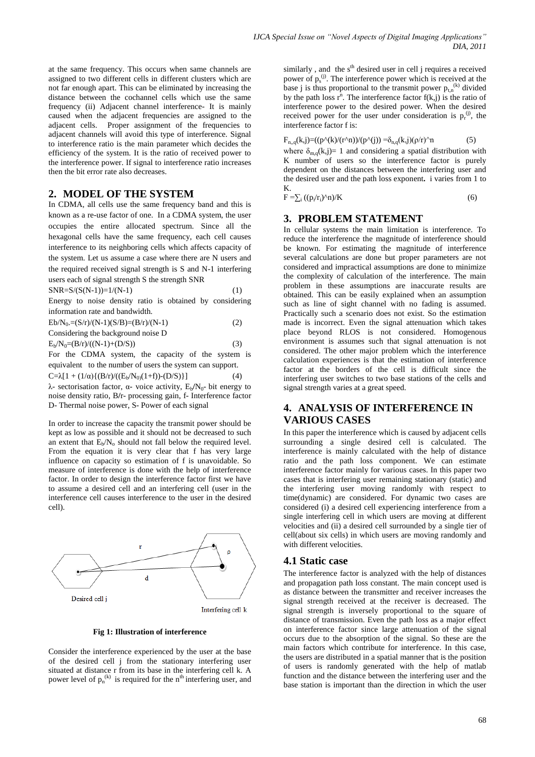at the same frequency. This occurs when same channels are assigned to two different cells in different clusters which are not far enough apart. This can be eliminated by increasing the distance between the cochannel cells which use the same frequency (ii) Adjacent channel interference- It is mainly caused when the adjacent frequencies are assigned to the adjacent cells. Proper assignment of the frequencies to adjacent channels will avoid this type of interference. Signal to interference ratio is the main parameter which decides the efficiency of the system. It is the ratio of received power to the interference power. If signal to interference ratio increases then the bit error rate also decreases.

# **2. MODEL OF THE SYSTEM**

In CDMA, all cells use the same frequency band and this is known as a re-use factor of one. In a CDMA system, the user occupies the entire allocated spectrum. Since all the hexagonal cells have the same frequency, each cell causes interference to its neighboring cells which affects capacity of the system. Let us assume a case where there are N users and the required received signal strength is S and N-1 interfering users each of signal strength S the strength SNR

$$
SNR = S/(S(N-1)) = 1/(N-1)
$$
 (1)

Energy to noise density ratio is obtained by considering information rate and bandwidth.

| $Eb/N_0 = (S/r)/(N-1)(S/B) = (B/r)/(N-1)$ | (2) |
|-------------------------------------------|-----|
| Considering the background noise D        |     |
| $E_{\rm b}/N_0 = (B/r)/(N-1) + (D/S)$     | (3) |

For the CDMA system, the capacity of the system is equivalent to the number of users the system can support. C= $\lambda$ [1 + (1/α){(B/r)/((E<sub>b</sub>/N<sub>0)</sub>(1+f))-(D/S)}] (4)

λ- sectorisation factor, α- voice activity,  $E_b/N_0$ - bit energy to noise density ratio, B**/**r- processing gain, f- Interference factor D- Thermal noise power, S- Power of each signal

In order to increase the capacity the transmit power should be kept as low as possible and it should not be decreased to such an extent that  $E_b/N_o$  should not fall below the required level. From the equation it is very clear that f has very large influence on capacity so estimation of f is unavoidable. So measure of interference is done with the help of interference factor. In order to design the interference factor first we have to assume a desired cell and an interfering cell (user in the interference cell causes interference to the user in the desired cell).



**Fig 1: Illustration of interference**

Consider the interference experienced by the user at the base of the desired cell j from the stationary interfering user situated at distance r from its base in the interfering cell k. A power level of  $p_n^{(k)}$  is required for the n<sup>th</sup> interfering user, and similarly, and the  $s<sup>th</sup>$  desired user in cell j requires a received power of  $p_s^{(j)}$ . The interference power which is received at the base j is thus proportional to the transmit power  $p_{t,n}^{(k)}$  divided by the path loss  $r^n$ . The interference factor  $f(k, j)$  is the ratio of interference power to the desired power. When the desired received power for the user under consideration is  $p_r^{(j)}$ , the interference factor f is:

$$
F_{n,q}(k,j) = ((p^{\Lambda}(k)/(r^{\Lambda}n))/(p^{\Lambda}(j)) = \delta_{n,q}(k,j)(\rho/r)^{\Lambda}n
$$
 (5)

where  $\delta_{m,q}(k,j)=1$  and considering a spatial distribution with K number of users so the interference factor is purely dependent on the distances between the interfering user and the desired user and the path loss exponent**.** i varies from 1 to K.

$$
F = \sum_{i} ((p_i/r_i)^{\Lambda} n) / K \tag{6}
$$

## **3. PROBLEM STATEMENT**

In cellular systems the main limitation is interference. To reduce the interference the magnitude of interference should be known. For estimating the magnitude of interference several calculations are done but proper parameters are not considered and impractical assumptions are done to minimize the complexity of calculation of the interference. The main problem in these assumptions are inaccurate results are obtained. This can be easily explained when an assumption such as line of sight channel with no fading is assumed. Practically such a scenario does not exist. So the estimation made is incorrect. Even the signal attenuation which takes place beyond RLOS is not considered. Homogenous environment is assumes such that signal attenuation is not considered. The other major problem which the interference calculation experiences is that the estimation of interference factor at the borders of the cell is difficult since the interfering user switches to two base stations of the cells and signal strength varies at a great speed.

# **4. ANALYSIS OF INTERFERENCE IN VARIOUS CASES**

In this paper the interference which is caused by adjacent cells surrounding a single desired cell is calculated. The interference is mainly calculated with the help of distance ratio and the path loss component. We can estimate interference factor mainly for various cases. In this paper two cases that is interfering user remaining stationary (static) and the interfering user moving randomly with respect to time(dynamic) are considered. For dynamic two cases are considered (i) a desired cell experiencing interference from a single interfering cell in which users are moving at different velocities and (ii) a desired cell surrounded by a single tier of cell(about six cells) in which users are moving randomly and with different velocities.

## **4.1 Static case**

The interference factor is analyzed with the help of distances and propagation path loss constant. The main concept used is as distance between the transmitter and receiver increases the signal strength received at the receiver is decreased. The signal strength is inversely proportional to the square of distance of transmission. Even the path loss as a major effect on interference factor since large attenuation of the signal occurs due to the absorption of the signal. So these are the main factors which contribute for interference. In this case, the users are distributed in a spatial manner that is the position of users is randomly generated with the help of matlab function and the distance between the interfering user and the base station is important than the direction in which the user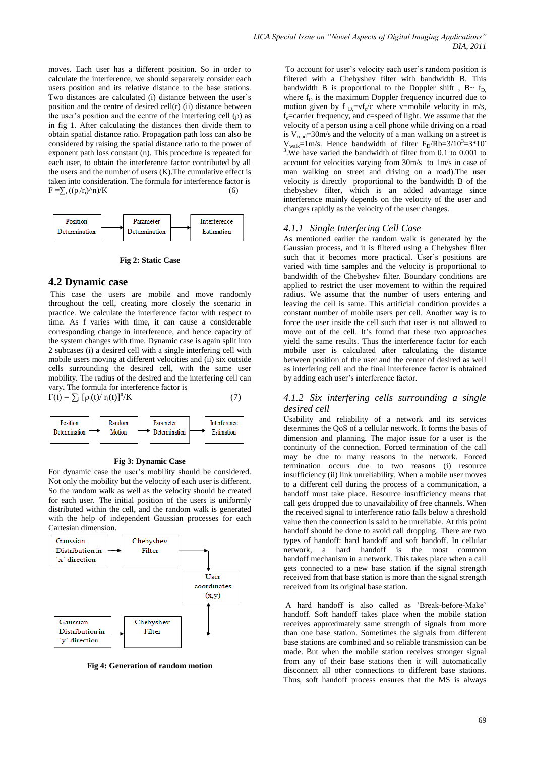moves. Each user has a different position. So in order to calculate the interference, we should separately consider each users position and its relative distance to the base stations. Two distances are calculated (i) distance between the user's position and the centre of desired cell(r) (ii) distance between the user's position and the centre of the interfering cell  $(\rho)$  as in fig 1. After calculating the distances then divide them to obtain spatial distance ratio. Propagation path loss can also be considered by raising the spatial distance ratio to the power of exponent path loss constant (n). This procedure is repeated for each user, to obtain the interference factor contributed by all the users and the number of users (K).The cumulative effect is taken into consideration. The formula for interference factor is  $F = \sum_i ((p_i/r_i)^{\wedge} n)/K$  (6)



**Fig 2: Static Case**

#### **4.2 Dynamic case**

This case the users are mobile and move randomly throughout the cell, creating more closely the scenario in practice. We calculate the interference factor with respect to time. As f varies with time, it can cause a considerable corresponding change in interference, and hence capacity of the system changes with time. Dynamic case is again split into 2 subcases (i) a desired cell with a single interfering cell with mobile users moving at different velocities and (ii) six outside cells surrounding the desired cell, with the same user mobility. The radius of the desired and the interfering cell can vary**.** The formula for interference factor is  $/K$  (7)





#### **Fig 3: Dynamic Case**

For dynamic case the user's mobility should be considered. Not only the mobility but the velocity of each user is different. So the random walk as well as the velocity should be created for each user. The initial position of the users is uniformly distributed within the cell, and the random walk is generated with the help of independent Gaussian processes for each Cartesian dimension.



**Fig 4: Generation of random motion**

To account for user's velocity each user's random position is filtered with a Chebyshev filter with bandwidth B. This bandwidth B is proportional to the Doppler shift,  $B \sim f_D$ where  $f_D$  is the maximum Doppler frequency incurred due to motion given by f  $_{D}$ =vf<sub>c</sub>/c where v=mobile velocity in m/s,  $f<sub>c</sub>=carrier frequency, and c=speed of light. We assume that the$ velocity of a person using a cell phone while driving on a road is  $V_{\text{road}} = 30 \text{m/s}$  and the velocity of a man walking on a street is  $V_{walk}$ =1m/s. Hence bandwidth of filter  $F_D/Rb=3/10^3=3*10$ <sup>3</sup>. We have varied the bandwidth of filter from 0.1 to 0.001 to account for velocities varying from 30m/s to 1m/s in case of man walking on street and driving on a road).The user velocity is directly proportional to the bandwidth B of the chebyshev filter, which is an added advantage since interference mainly depends on the velocity of the user and changes rapidly as the velocity of the user changes.

#### *4.1.1 Single Interfering Cell Case*

As mentioned earlier the random walk is generated by the Gaussian process, and it is filtered using a Chebyshev filter such that it becomes more practical. User's positions are varied with time samples and the velocity is proportional to bandwidth of the Chebyshev filter. Boundary conditions are applied to restrict the user movement to within the required radius. We assume that the number of users entering and leaving the cell is same. This artificial condition provides a constant number of mobile users per cell. Another way is to force the user inside the cell such that user is not allowed to move out of the cell. It's found that these two approaches yield the same results. Thus the interference factor for each mobile user is calculated after calculating the distance between position of the user and the center of desired as well as interfering cell and the final interference factor is obtained by adding each user's interference factor.

## *4.1.2 Six interfering cells surrounding a single desired cell*

Usability and reliability of a network and its services determines the QoS of a cellular network. It forms the basis of dimension and planning. The major issue for a user is the continuity of the connection. Forced termination of the call may be due to many reasons in the network. Forced termination occurs due to two reasons (i) resource insufficiency (ii) link unreliability. When a mobile user moves to a different cell during the process of a communication, a handoff must take place. Resource insufficiency means that call gets dropped due to unavailability of free channels. When the received signal to interference ratio falls below a threshold value then the connection is said to be unreliable. At this point handoff should be done to avoid call dropping. There are two types of handoff: hard handoff and soft handoff. In cellular network, a hard handoff is the most common [handoff](http://it.toolbox.com/wiki/index.php/Handoff) mechanism in a network. This takes place when a call gets connected to a new base station if the signal strength received from that base station is more than the signal strength received from its original base station.

A hard handoff is also called as 'Break-before-Make' handoff. Soft handoff takes place when the mobile station receives approximately same strength of signals from more than one base station. Sometimes the signals from different base stations are combined and so reliable transmission can be made. But when the mobile station receives stronger signal from any of their base stations then it will automatically disconnect all other connections to different base stations. Thus, soft handoff process ensures that the MS is always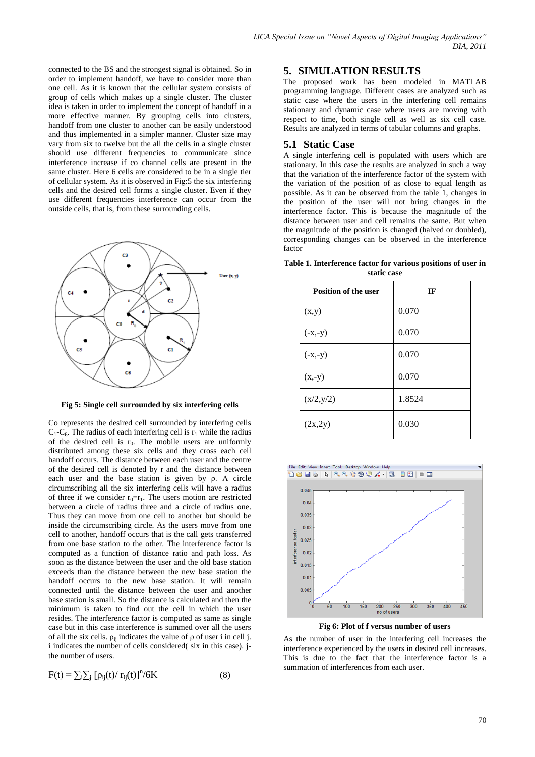connected to the BS and the strongest signal is obtained. So in order to implement handoff, we have to consider more than one cell. As it is known that the cellular system consists of group of cells which makes up a single cluster. The cluster idea is taken in order to implement the concept of handoff in a more effective manner. By grouping cells into clusters, handoff from one cluster to another can be easily understood and thus implemented in a simpler manner. Cluster size may vary from six to twelve but the all the cells in a single cluster should use different frequencies to communicate since interference increase if co channel cells are present in the same cluster. Here 6 cells are considered to be in a single tier of cellular system. As it is observed in Fig:5 the six interfering cells and the desired cell forms a single cluster. Even if they use different frequencies interference can occur from the outside cells, that is, from these surrounding cells.



**Fig 5: Single cell surrounded by six interfering cells**

Co represents the desired cell surrounded by interfering cells  $C_1$ - $C_6$ . The radius of each interfering cell is  $r_1$  while the radius of the desired cell is  $r_0$ . The mobile users are uniformly distributed among these six cells and they cross each cell handoff occurs. The distance between each user and the centre of the desired cell is denoted by r and the distance between each user and the base station is given by ρ. A circle circumscribing all the six interfering cells will have a radius of three if we consider  $r_0=r_1$ . The users motion are restricted between a circle of radius three and a circle of radius one. Thus they can move from one cell to another but should be inside the circumscribing circle. As the users move from one cell to another, handoff occurs that is the call gets transferred from one base station to the other. The interference factor is computed as a function of distance ratio and path loss. As soon as the distance between the user and the old base station exceeds than the distance between the new base station the handoff occurs to the new base station. It will remain connected until the distance between the user and another base station is small. So the distance is calculated and then the minimum is taken to find out the cell in which the user resides. The interference factor is computed as same as single case but in this case interference is summed over all the users of all the six cells.  $\rho_{ii}$  indicates the value of  $\rho$  of user i in cell j. i indicates the number of cells considered( six in this case). jthe number of users.

$$
F(t) = \sum_{i} \sum_{j} [\rho_{ij}(t) / r_{ij}(t)]^{n} / 6K
$$
 (8)

## **5. SIMULATION RESULTS**

The proposed work has been modeled in MATLAB programming language. Different cases are analyzed such as static case where the users in the interfering cell remains stationary and dynamic case where users are moving with respect to time, both single cell as well as six cell case. Results are analyzed in terms of tabular columns and graphs.

## **5.1 Static Case**

A single interfering cell is populated with users which are stationary. In this case the results are analyzed in such a way that the variation of the interference factor of the system with the variation of the position of as close to equal length as possible. As it can be observed from the table 1, changes in the position of the user will not bring changes in the interference factor. This is because the magnitude of the distance between user and cell remains the same. But when the magnitude of the position is changed (halved or doubled), corresponding changes can be observed in the interference factor

**Table 1. Interference factor for various positions of user in static case**

| <b>Position of the user</b> | IF     |
|-----------------------------|--------|
| (x,y)                       | 0.070  |
| $(-x,-y)$                   | 0.070  |
| $(-x,-y)$                   | 0.070  |
| $(x,-y)$                    | 0.070  |
| (x/2, y/2)                  | 1.8524 |
| (2x, 2y)                    | 0.030  |



**Fig 6: Plot of f versus number of users**

As the number of user in the interfering cell increases the interference experienced by the users in desired cell increases. This is due to the fact that the interference factor is a summation of interferences from each user.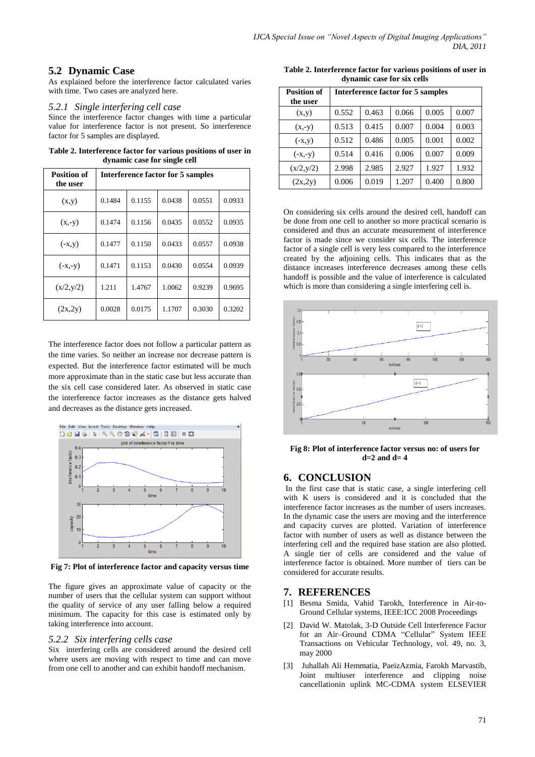## **5.2 Dynamic Case**

As explained before the interference factor calculated varies with time. Two cases are analyzed here.

### *5.2.1 Single interfering cell case*

Since the interference factor changes with time a particular value for interference factor is not present. So interference factor for 5 samples are displayed.

**Table 2. Interference factor for various positions of user in dynamic case for single cell**

| <b>Position of</b><br>the user | Interference factor for 5 samples |        |        |        |        |
|--------------------------------|-----------------------------------|--------|--------|--------|--------|
| (x,y)                          | 0.1484                            | 0.1155 | 0.0438 | 0.0551 | 0.0933 |
| $(x,-y)$                       | 0.1474                            | 0.1156 | 0.0435 | 0.0552 | 0.0935 |
| $(-x,y)$                       | 0.1477                            | 0.1150 | 0.0433 | 0.0557 | 0.0938 |
| $(-x,-y)$                      | 0.1471                            | 0.1153 | 0.0430 | 0.0554 | 0.0939 |
| (x/2,y/2)                      | 1.211                             | 1.4767 | 1.0062 | 0.9239 | 0.9695 |
| (2x, 2y)                       | 0.0028                            | 0.0175 | 1.1707 | 0.3030 | 0.3202 |

The interference factor does not follow a particular pattern as the time varies. So neither an increase nor decrease pattern is expected. But the interference factor estimated will be much more approximate than in the static case but less accurate than the six cell case considered later. As observed in static case the interference factor increases as the distance gets halved and decreases as the distance gets increased.



**Fig 7: Plot of interference factor and capacity versus time**

The figure gives an approximate value of capacity or the number of users that the cellular system can support without the quality of service of any user falling below a required minimum. The capacity for this case is estimated only by taking interference into account.

#### *5.2.2 Six interfering cells case*

Six interfering cells are considered around the desired cell where users are moving with respect to time and can move from one cell to another and can exhibit handoff mechanism.

**Table 2. Interference factor for various positions of user in dynamic case for six cells**

| <b>Position of</b><br>the user | Interference factor for 5 samples |       |       |       |       |
|--------------------------------|-----------------------------------|-------|-------|-------|-------|
| (x,y)                          | 0.552                             | 0.463 | 0.066 | 0.005 | 0.007 |
| $(x,-y)$                       | 0.513                             | 0.415 | 0.007 | 0.004 | 0.003 |
| $(-x,y)$                       | 0.512                             | 0.486 | 0.005 | 0.001 | 0.002 |
| $(-x,-y)$                      | 0.514                             | 0.416 | 0.006 | 0.007 | 0.009 |
| (x/2,y/2)                      | 2.998                             | 2.985 | 2.927 | 1.927 | 1.932 |
| (2x, 2y)                       | 0.006                             | 0.019 | 1.207 | 0.400 | 0.800 |

On considering six cells around the desired cell, handoff can be done from one cell to another so more practical scenario is considered and thus an accurate measurement of interference factor is made since we consider six cells. The interference factor of a single cell is very less compared to the interference created by the adjoining cells. This indicates that as the distance increases interference decreases among these cells handoff is possible and the value of interference is calculated which is more than considering a single interfering cell is.



**Fig 8: Plot of interference factor versus no: of users for d=2 and d= 4**

## **6. CONCLUSION**

In the first case that is static case, a single interfering cell with K users is considered and it is concluded that the interference factor increases as the number of users increases. In the dynamic case the users are moving and the interference and capacity curves are plotted. Variation of interference factor with number of users as well as distance between the interfering cell and the required base station are also plotted. A single tier of cells are considered and the value of interference factor is obtained. More number of tiers can be considered for accurate results.

## **7. REFERENCES**

- [1] Besma Smida, Vahid Tarokh, Interference in Air-to-Ground Cellular systems, IEEE:ICC 2008 Proceedings
- [2] David W. Matolak, 3-D Outside Cell Interference Factor for an Air-Ground CDMA "Cellular" System IEEE Transactions on Vehicular Technology, vol. 49, no. 3, may 2000
- [3] Juhallah Ali Hemmatia, PaeizAzmia, Farokh Marvastib, Joint multiuser interference and clipping noise cancellationin uplink MC-CDMA system ELSEVIER